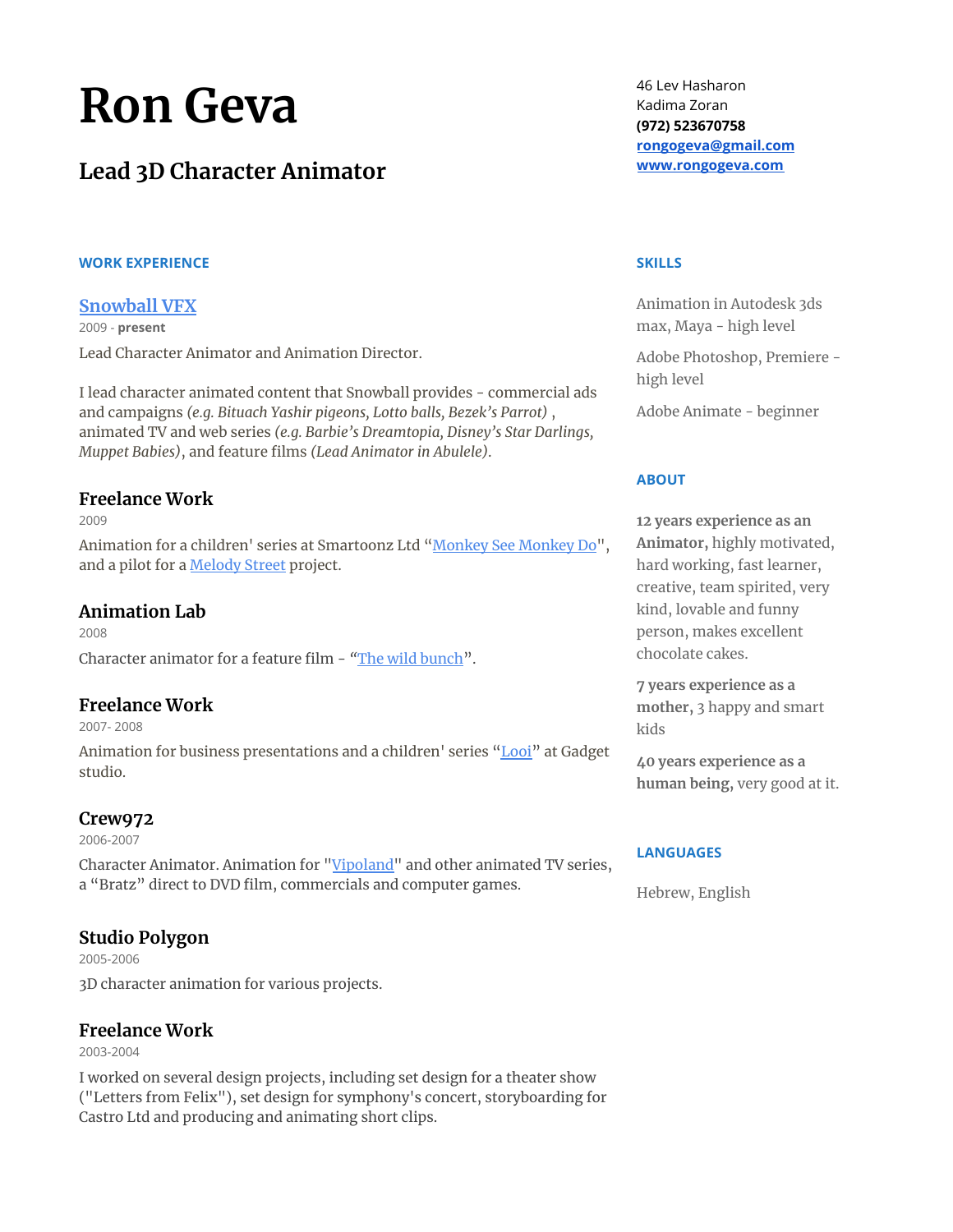# **Ron Geva**

# **Lead 3D Character Animator**

#### **WORK EXPERIENCE**

#### **[Snowball](http://www.snowballvfx.com/) VFX**

2009 - **present** Lead Character Animator and Animation Director.

I lead character animated content that Snowball provides - commercial ads and campaigns *(e.g. Bituach Yashir pigeons, Lotto balls, Bezek's Parrot)* , animated TV and web series *(e.g. Barbie's Dreamtopia, Disney's Star Darlings, Muppet Babies)*, and feature films *(Lead Animator in Abulele)*.

## **Freelance Work**

2009

Animation for a children' series at Smartoonz Ltd ["](https://www.youtube.com/playlist?list=PLAD950834ACE4F14E)Monkey [See Monkey](https://www.youtube.com/playlist?list=PLAD950834ACE4F14E) D[o"](https://www.youtube.com/playlist?list=PLAD950834ACE4F14E), and a pilot for a **[Melody](https://www.youtube.com/channel/UCQrBKJXn_Gkr4WdFlIIvZtg) Street** project.

### **Animation Lab**

2008 Character animator for a feature film - *["](https://www.youtube.com/watch?v=5EAE62OS908)*[The wild](https://www.youtube.com/watch?v=5EAE62OS908) bunch[".](https://www.youtube.com/watch?v=5EAE62OS908)

## **Freelance Work**

2007- 2008

Animation for business presentations and a children' series ["Looi"](https://www.looi.tv/) at Gadget studio.

## **Crew972**

2006-2007

Character Animator. Animation for ["Vipoland"](https://www.youtube.com/user/vipolandMUC) and other animated TV series, a "Bratz" direct to DVD film, commercials and computer games.

## **Studio Polygon**

2005-2006 3D character animation for various projects.

## **Freelance Work**

2003-2004

I worked on several design projects, including set design for a theater show ("Letters from Felix"), set design for symphony's concert, storyboarding for Castro Ltd and producing and animating short clips.

46 Lev Hasharon Kadima Zoran **(972) 523670758 [rongogeva@gmail.com](mailto:rongogeva@gmail.com) [www.rongogeva.com](http://www.rongogeva.com/)**

#### **SKILLS**

Animation in Autodesk 3ds max, Maya - high level

Adobe Photoshop, Premiere high level

Adobe Animate - beginner

#### **ABOUT**

**12 years experience as an Animator,** highly motivated, hard working, fast learner, creative, team spirited, very kind, lovable and funny person, makes excellent chocolate cakes.

**7 years experience as a mother,** 3 happy and smart kids

**40 years experience as a human being,** very good at it.

#### **LANGUAGES**

Hebrew, English